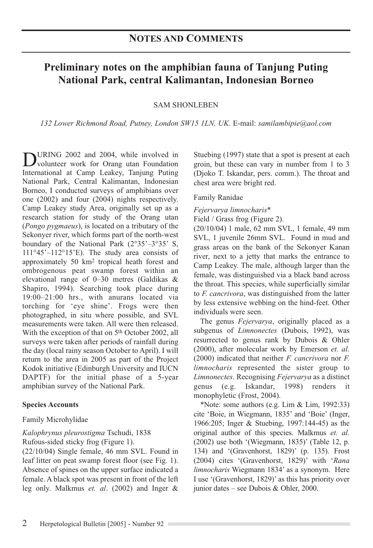# **Preliminary notes on the amphibian fauna of Tanjung Puting National Park, central Kalimantan, Indonesian Borneo**

## SAM SHONLEBEN

*132 Lower Richmond Road, Putney, London SW15 1LN, UK*. E-mail: *samilambipie@aol.com*

DURING 2002 and 2004, while involved in<br>volunteer work for Orang utan Foundation International at Camp Leakey, Tanjung Puting National Park, Central Kalimantan, Indonesian Borneo, I conducted surveys of amphibians over one (2002) and four (2004) nights respectively. Camp Leakey study Area, originally set up as a research station for study of the Orang utan (*Pongo pygmaeus*), is located on a tributary of the Sekonyer river, which forms part of the north-west boundary of the National Park (2°35'–3°35' S, 111°45'–112°15'E). The study area consists of approximately 50 km2 tropical heath forest and ombrogenous peat swamp forest within an elevational range of 0–30 metres (Galdikas & Shapiro, 1994). Searching took place during 19:00–21:00 hrs., with anurans located via torching for 'eye shine'. Frogs were then photographed, in situ where possible, and SVL measurements were taken. All were then released. With the exception of that on 5<sup>th</sup> October 2002, all surveys were taken after periods of rainfall during the day (local rainy season October to April). I will return to the area in 2005 as part of the Project Kodok initiative (Edinburgh University and IUCN DAPTF) for the initial phase of a 5-year amphibian survey of the National Park.

## **Species Accounts**

## Family Microhylidae

## *Kalophrynus pleurostigma* Tschudi, 1838 Rufous-sided sticky frog (Figure 1).

(22/10/04) Single female, 46 mm SVL. Found in leaf litter on peat swamp forest floor (see Fig. 1). Absence of spines on the upper surface indicated a female. A black spot was present in front of the left leg only. Malkmus *et. al*. (2002) and Inger & Stuebing (1997) state that a spot is present at each groin, but these can vary in number from 1 to 3 (Djoko T. Iskandar, pers. comm.). The throat and chest area were bright red.

## Family Ranidae

*Fejervarya limnocharis*\*

Field / Grass frog (Figure 2).

(20/10/04) 1 male, 62 mm SVL, 1 female, 49 mm SVL, 1 juvenile 26mm SVL. Found in mud and grass areas on the bank of the Sekonyer Kanan river, next to a jetty that marks the entrance to Camp Leakey. The male, although larger than the female, was distinguished via a black band across the throat. This species, while superficially similar to *F. cancrivora*, was distinguished from the latter by less extensive webbing on the hind-feet. Other individuals were seen.

The genus *Fejervarya*, originally placed as a subgenus of *Limnonectes* (Dubois, 1992), was resurrected to genus rank by Dubois & Ohler (2000), after molecular work by Emerson *et. al*. (2000) indicated that neither *F. cancrivora* nor *F. limnocharis* represented the sister group to *Limnonectes*. Recognising *Fejervarya* as a distinct genus (e.g. Iskandar, 1998) renders it monophyletic (Frost, 2004).

\*Note: some authors (e.g. Lim & Lim, 1992:33) cite 'Boie, in Wiegmann, 1835' and 'Boie' (Inger, 1966:205; Inger & Stuebing, 1997:144-45) as the original author of this species. Malkmus *et. al*. (2002) use both '(Wiegmann, 1835)' (Table 12, p. 134) and '(Gravenhorst, 1829)' (p. 135). Frost (2004) cites '(Gravenhorst, 1829)' with '*Rana limnocharis* Wiegmann 1834' as a synonym. Here I use '(Gravenhorst, 1829)' as this has priority over junior dates – see Dubois & Ohler, 2000.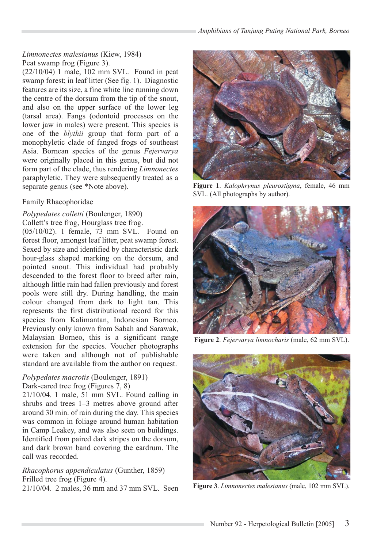# *Limnonectes malesianus* (Kiew, 1984) Peat swamp frog (Figure 3).

(22/10/04) 1 male, 102 mm SVL. Found in peat swamp forest; in leaf litter (See fig. 1). Diagnostic features are its size, a fine white line running down the centre of the dorsum from the tip of the snout, and also on the upper surface of the lower leg (tarsal area). Fangs (odontoid processes on the lower jaw in males) were present. This species is one of the *blythii* group that form part of a monophyletic clade of fanged frogs of southeast Asia. Bornean species of the genus *Fejervarya* were originally placed in this genus, but did not form part of the clade, thus rendering *Limnonectes* paraphyletic. They were subsequently treated as a separate genus (see \*Note above).

# Family Rhacophoridae

## *Polypedates colletti* (Boulenger, 1890)

Collett's tree frog, Hourglass tree frog.

(05/10/02). 1 female, 73 mm SVL. Found on forest floor, amongst leaf litter, peat swamp forest. Sexed by size and identified by characteristic dark hour-glass shaped marking on the dorsum, and pointed snout. This individual had probably descended to the forest floor to breed after rain, although little rain had fallen previously and forest pools were still dry. During handling, the main colour changed from dark to light tan. This represents the first distributional record for this species from Kalimantan, Indonesian Borneo. Previously only known from Sabah and Sarawak, Malaysian Borneo, this is a significant range extension for the species. Voucher photographs were taken and although not of publishable standard are available from the author on request.

## *Polypedates macrotis* (Boulenger, 1891) Dark-eared tree frog (Figures 7, 8)

21/10/04. 1 male, 51 mm SVL. Found calling in shrubs and trees 1–3 metres above ground after around 30 min. of rain during the day. This species was common in foliage around human habitation in Camp Leakey, and was also seen on buildings. Identified from paired dark stripes on the dorsum, and dark brown band covering the eardrum. The call was recorded.

# *Rhacophorus appendiculatus* (Gunther, 1859) Frilled tree frog (Figure 4).



**Figure 1**. *Kalophrynus pleurostigma*, female, 46 mm SVL. (All photographs by author).



**Figure 2**. *Fejervarya limnocharis* (male, 62 mm SVL).



21/10/04. 2 males, 36 mm and 37 mm SVL. Seen **Figure 3**. *Limnonectes malesianus* (male, 102 mm SVL).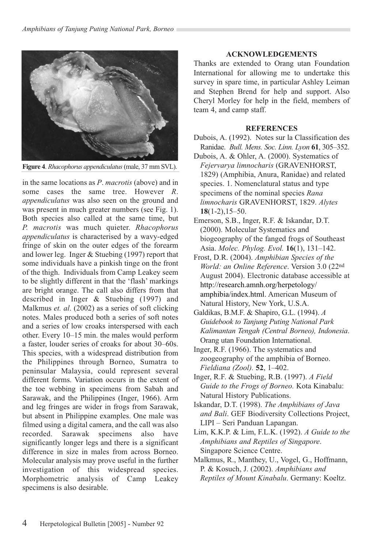

**Figure 4**. *Rhacophorus appendiculatus* (male, 37 mm SVL).

in the same locations as *P*. *macrotis* (above) and in some cases the same tree. However *R*. *appendiculatus* was also seen on the ground and was present in much greater numbers (see Fig. 1). Both species also called at the same time, but *P. macrotis* was much quieter. *Rhacophorus appendiculatus* is characterised by a wavy-edged fringe of skin on the outer edges of the forearm and lower leg. Inger & Stuebing (1997) report that some individuals have a pinkish tinge on the front of the thigh. Individuals from Camp Leakey seem to be slightly different in that the 'flash' markings are bright orange. The call also differs from that described in Inger & Stuebing (1997) and Malkmus *et. al*. (2002) as a series of soft clicking notes. Males produced both a series of soft notes and a series of low croaks interspersed with each other. Every 10–15 min. the males would perform a faster, louder series of croaks for about 30–60s. This species, with a widespread distribution from the Philippines through Borneo, Sumatra to peninsular Malaysia, could represent several different forms. Variation occurs in the extent of the toe webbing in specimens from Sabah and Sarawak, and the Philippines (Inger, 1966). Arm and leg fringes are wider in frogs from Sarawak, but absent in Philippine examples. One male was filmed using a digital camera, and the call was also recorded. Sarawak specimens also have significantly longer legs and there is a significant difference in size in males from across Borneo. Molecular analysis may prove useful in the further investigation of this widespread species. Morphometric analysis of Camp Leakey specimens is also desirable.

## **ACKNOWLEDGEMENTS**

Thanks are extended to Orang utan Foundation International for allowing me to undertake this survey in spare time, in particular Ashley Leiman and Stephen Brend for help and support. Also Cheryl Morley for help in the field, members of team 4, and camp staff.

#### **REFERENCES**

- Dubois, A. (1992). Notes sur la Classification des Ranidae. *Bull. Mens. Soc. Linn. Lyon* **61**, 305–352.
- Dubois, A. & Ohler, A. (2000). Systematics of *Fejervarya limnocharis* (GRAVENHORST, 1829) (Amphibia, Anura, Ranidae) and related species. 1. Nomenclatural status and type specimens of the nominal species *Rana limnocharis* GRAVENHORST, 1829. *Alytes* **18**(1-2),15–50.
- Emerson, S.B., Inger, R.F. & Iskandar, D.T. (2000). Molecular Systematics and biogeography of the fanged frogs of Southeast Asia. *Molec. Phylog. Evol.* **16**(1), 131–142.
- Frost, D.R. (2004). *Amphibian Species of the World: an Online Reference*. Version 3.0 (22nd August 2004). Electronic database accessible at http://research.amnh.org/herpetology/ amphibia/index.html. American Museum of Natural History, New York, U.S.A.
- Galdikas, B.M.F. & Shapiro, G.L. (1994). *A Guidebook to Tanjung Puting National Park Kalimantan Tengah (Central Borneo), Indonesia*. Orang utan Foundation International.
- Inger, R.F. (1966). The systematics and zoogeography of the amphibia of Borneo. *Fieldiana (Zool).* **52**, 1–402.
- Inger, R.F. & Stuebing, R.B. (1997). *A Field Guide to the Frogs of Borneo.* Kota Kinabalu: Natural History Publications.
- Iskandar, D.T. (1998). *The Amphibians of Java and Bali*. GEF Biodiversity Collections Project, LIPI – Seri Panduan Lapangan.
- Lim, K.K.P. & Lim, F.L.K. (1992). *A Guide to the Amphibians and Reptiles of Singapore*. Singapore Science Centre.
- Malkmus, R., Manthey, U., Vogel, G., Hoffmann, P. & Kosuch, J. (2002). *Amphibians and Reptiles of Mount Kinabalu*. Germany: Koeltz.